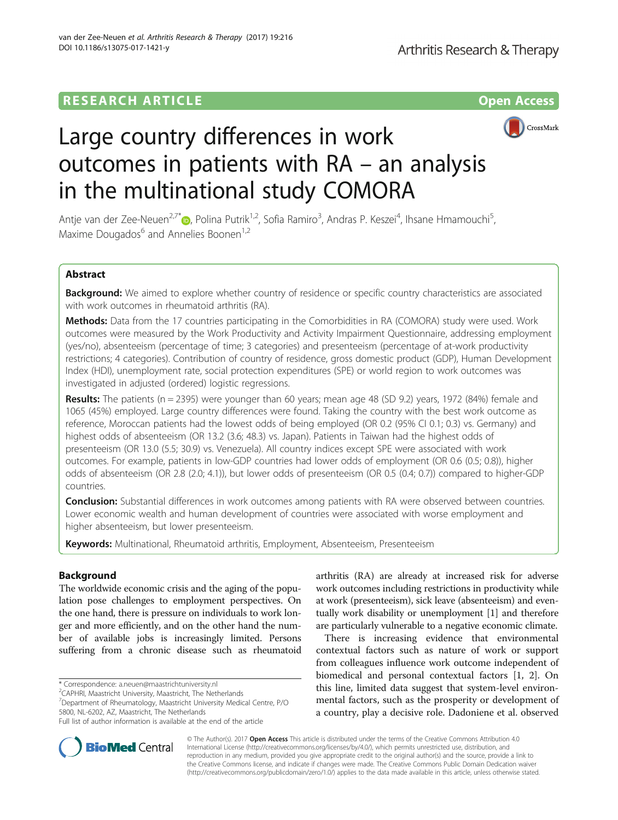# **RESEARCH ARTICLE Example 2014 12:30 The Contract of Contract ACCESS**





# Large country differences in work outcomes in patients with RA – an analysis in the multinational study COMORA

Antje van der Zee-Neuen<sup>2[,](http://orcid.org/0000-0002-7167-7524)7\*</sup>®, Polina Putrik<sup>1,2</sup>, Sofia Ramiro<sup>3</sup>, Andras P. Keszei<sup>4</sup>, Ihsane Hmamouchi<sup>5</sup> , Maxime Dougados<sup>6</sup> and Annelies Boonen<sup>1,2</sup>

# Abstract

Background: We aimed to explore whether country of residence or specific country characteristics are associated with work outcomes in rheumatoid arthritis (RA).

Methods: Data from the 17 countries participating in the Comorbidities in RA (COMORA) study were used. Work outcomes were measured by the Work Productivity and Activity Impairment Questionnaire, addressing employment (yes/no), absenteeism (percentage of time; 3 categories) and presenteeism (percentage of at-work productivity restrictions; 4 categories). Contribution of country of residence, gross domestic product (GDP), Human Development Index (HDI), unemployment rate, social protection expenditures (SPE) or world region to work outcomes was investigated in adjusted (ordered) logistic regressions.

Results: The patients (n = 2395) were younger than 60 years; mean age 48 (SD 9.2) years, 1972 (84%) female and 1065 (45%) employed. Large country differences were found. Taking the country with the best work outcome as reference, Moroccan patients had the lowest odds of being employed (OR 0.2 (95% CI 0.1; 0.3) vs. Germany) and highest odds of absenteeism (OR 13.2 (3.6; 48.3) vs. Japan). Patients in Taiwan had the highest odds of presenteeism (OR 13.0 (5.5; 30.9) vs. Venezuela). All country indices except SPE were associated with work outcomes. For example, patients in low-GDP countries had lower odds of employment (OR 0.6 (0.5; 0.8)), higher odds of absenteeism (OR 2.8 (2.0; 4.1)), but lower odds of presenteeism (OR 0.5 (0.4; 0.7)) compared to higher-GDP countries.

**Conclusion:** Substantial differences in work outcomes among patients with RA were observed between countries. Lower economic wealth and human development of countries were associated with worse employment and higher absenteeism, but lower presenteeism.

Keywords: Multinational, Rheumatoid arthritis, Employment, Absenteeism, Presenteeism

# Background

The worldwide economic crisis and the aging of the population pose challenges to employment perspectives. On the one hand, there is pressure on individuals to work longer and more efficiently, and on the other hand the number of available jobs is increasingly limited. Persons suffering from a chronic disease such as rheumatoid

\* Correspondence: [a.neuen@maastrichtuniversity.nl](mailto:a.neuen@maastrichtuniversity.nl) <sup>2</sup>

7 Department of Rheumatology, Maastricht University Medical Centre, P/O 5800, NL-6202, AZ, Maastricht, The Netherlands

arthritis (RA) are already at increased risk for adverse work outcomes including restrictions in productivity while at work (presenteeism), sick leave (absenteeism) and eventually work disability or unemployment [\[1](#page-8-0)] and therefore are particularly vulnerable to a negative economic climate.

There is increasing evidence that environmental contextual factors such as nature of work or support from colleagues influence work outcome independent of biomedical and personal contextual factors [[1, 2](#page-8-0)]. On this line, limited data suggest that system-level environmental factors, such as the prosperity or development of a country, play a decisive role. Dadoniene et al. observed



© The Author(s). 2017 **Open Access** This article is distributed under the terms of the Creative Commons Attribution 4.0 International License [\(http://creativecommons.org/licenses/by/4.0/](http://creativecommons.org/licenses/by/4.0/)), which permits unrestricted use, distribution, and reproduction in any medium, provided you give appropriate credit to the original author(s) and the source, provide a link to the Creative Commons license, and indicate if changes were made. The Creative Commons Public Domain Dedication waiver [\(http://creativecommons.org/publicdomain/zero/1.0/](http://creativecommons.org/publicdomain/zero/1.0/)) applies to the data made available in this article, unless otherwise stated.

CAPHRI, Maastricht University, Maastricht, The Netherlands

Full list of author information is available at the end of the article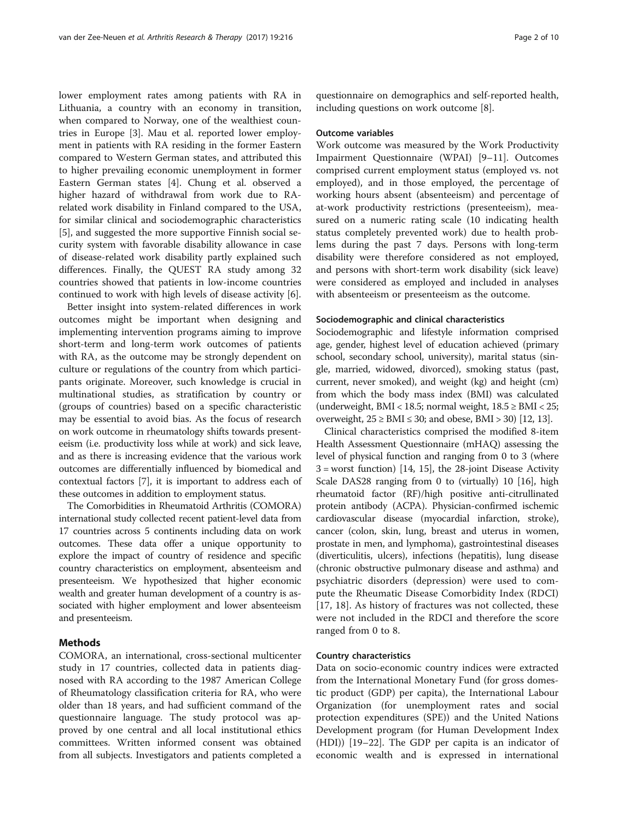lower employment rates among patients with RA in Lithuania, a country with an economy in transition, when compared to Norway, one of the wealthiest countries in Europe [[3\]](#page-8-0). Mau et al. reported lower employment in patients with RA residing in the former Eastern compared to Western German states, and attributed this to higher prevailing economic unemployment in former Eastern German states [[4\]](#page-8-0). Chung et al. observed a higher hazard of withdrawal from work due to RArelated work disability in Finland compared to the USA, for similar clinical and sociodemographic characteristics [[5\]](#page-8-0), and suggested the more supportive Finnish social security system with favorable disability allowance in case of disease-related work disability partly explained such differences. Finally, the QUEST RA study among 32 countries showed that patients in low-income countries continued to work with high levels of disease activity [[6\]](#page-8-0).

Better insight into system-related differences in work outcomes might be important when designing and implementing intervention programs aiming to improve short-term and long-term work outcomes of patients with RA, as the outcome may be strongly dependent on culture or regulations of the country from which participants originate. Moreover, such knowledge is crucial in multinational studies, as stratification by country or (groups of countries) based on a specific characteristic may be essential to avoid bias. As the focus of research on work outcome in rheumatology shifts towards presenteeism (i.e. productivity loss while at work) and sick leave, and as there is increasing evidence that the various work outcomes are differentially influenced by biomedical and contextual factors [\[7](#page-8-0)], it is important to address each of these outcomes in addition to employment status.

The Comorbidities in Rheumatoid Arthritis (COMORA) international study collected recent patient-level data from 17 countries across 5 continents including data on work outcomes. These data offer a unique opportunity to explore the impact of country of residence and specific country characteristics on employment, absenteeism and presenteeism. We hypothesized that higher economic wealth and greater human development of a country is associated with higher employment and lower absenteeism and presenteeism.

# Methods

COMORA, an international, cross-sectional multicenter study in 17 countries, collected data in patients diagnosed with RA according to the 1987 American College of Rheumatology classification criteria for RA, who were older than 18 years, and had sufficient command of the questionnaire language. The study protocol was approved by one central and all local institutional ethics committees. Written informed consent was obtained from all subjects. Investigators and patients completed a

questionnaire on demographics and self-reported health, including questions on work outcome [\[8](#page-8-0)].

#### Outcome variables

Work outcome was measured by the Work Productivity Impairment Questionnaire (WPAI) [\[9](#page-8-0)–[11\]](#page-9-0). Outcomes comprised current employment status (employed vs. not employed), and in those employed, the percentage of working hours absent (absenteeism) and percentage of at-work productivity restrictions (presenteeism), measured on a numeric rating scale (10 indicating health status completely prevented work) due to health problems during the past 7 days. Persons with long-term disability were therefore considered as not employed, and persons with short-term work disability (sick leave) were considered as employed and included in analyses with absenteeism or presenteeism as the outcome.

#### Sociodemographic and clinical characteristics

Sociodemographic and lifestyle information comprised age, gender, highest level of education achieved (primary school, secondary school, university), marital status (single, married, widowed, divorced), smoking status (past, current, never smoked), and weight (kg) and height (cm) from which the body mass index (BMI) was calculated (underweight, BMI < 18.5; normal weight,  $18.5 \geq BMI < 25$ ; overweight,  $25 \geq BMI \leq 30$ ; and obese,  $BMI > 30$  [[12](#page-9-0), [13\]](#page-9-0).

Clinical characteristics comprised the modified 8-item Health Assessment Questionnaire (mHAQ) assessing the level of physical function and ranging from 0 to 3 (where  $3 =$  worst function) [\[14](#page-9-0), [15](#page-9-0)], the 28-joint Disease Activity Scale DAS28 ranging from 0 to (virtually) 10 [[16\]](#page-9-0), high rheumatoid factor (RF)/high positive anti-citrullinated protein antibody (ACPA). Physician-confirmed ischemic cardiovascular disease (myocardial infarction, stroke), cancer (colon, skin, lung, breast and uterus in women, prostate in men, and lymphoma), gastrointestinal diseases (diverticulitis, ulcers), infections (hepatitis), lung disease (chronic obstructive pulmonary disease and asthma) and psychiatric disorders (depression) were used to compute the Rheumatic Disease Comorbidity Index (RDCI) [[17](#page-9-0), [18](#page-9-0)]. As history of fractures was not collected, these were not included in the RDCI and therefore the score ranged from 0 to 8.

## Country characteristics

Data on socio-economic country indices were extracted from the International Monetary Fund (for gross domestic product (GDP) per capita), the International Labour Organization (for unemployment rates and social protection expenditures (SPE)) and the United Nations Development program (for Human Development Index (HDI)) [[19](#page-9-0)–[22](#page-9-0)]. The GDP per capita is an indicator of economic wealth and is expressed in international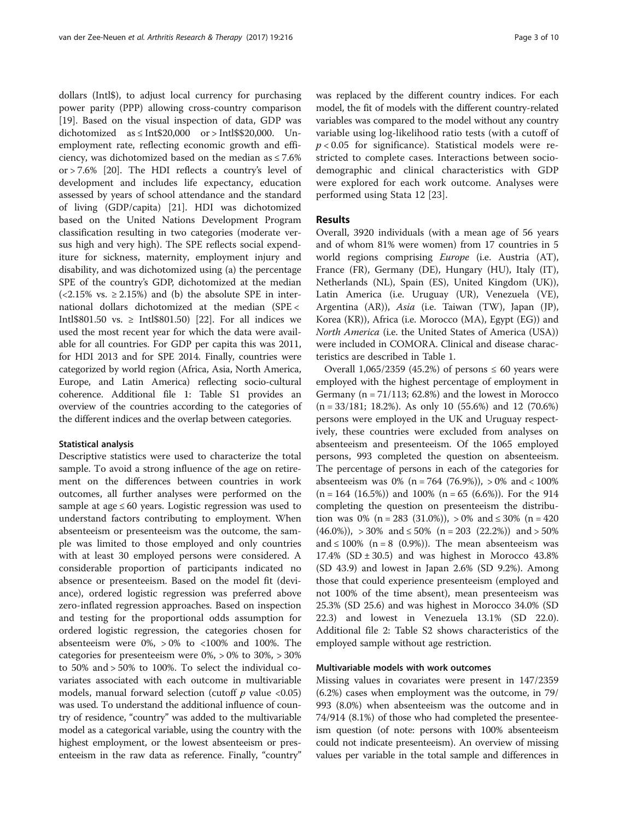dollars (Intl\$), to adjust local currency for purchasing power parity (PPP) allowing cross-country comparison [[19\]](#page-9-0). Based on the visual inspection of data, GDP was dichotomized as  $\leq$  Int\$20,000 or > Intl\$\$20,000. Unemployment rate, reflecting economic growth and efficiency, was dichotomized based on the median as  $\leq 7.6\%$ or > 7.6% [[20](#page-9-0)]. The HDI reflects a country's level of development and includes life expectancy, education assessed by years of school attendance and the standard of living (GDP/capita) [\[21](#page-9-0)]. HDI was dichotomized based on the United Nations Development Program classification resulting in two categories (moderate versus high and very high). The SPE reflects social expenditure for sickness, maternity, employment injury and disability, and was dichotomized using (a) the percentage SPE of the country's GDP, dichotomized at the median  $\left($  <2.15% vs.  $\geq$  2.15%) and (b) the absolute SPE in international dollars dichotomized at the median (SPE < Intl\$801.50 vs.  $\geq$  Intl\$801.50) [[22](#page-9-0)]. For all indices we used the most recent year for which the data were available for all countries. For GDP per capita this was 2011, for HDI 2013 and for SPE 2014. Finally, countries were categorized by world region (Africa, Asia, North America, Europe, and Latin America) reflecting socio-cultural coherence. Additional file [1](#page-7-0): Table S1 provides an overview of the countries according to the categories of the different indices and the overlap between categories.

#### Statistical analysis

Descriptive statistics were used to characterize the total sample. To avoid a strong influence of the age on retirement on the differences between countries in work outcomes, all further analyses were performed on the sample at age  $\leq 60$  years. Logistic regression was used to understand factors contributing to employment. When absenteeism or presenteeism was the outcome, the sample was limited to those employed and only countries with at least 30 employed persons were considered. A considerable proportion of participants indicated no absence or presenteeism. Based on the model fit (deviance), ordered logistic regression was preferred above zero-inflated regression approaches. Based on inspection and testing for the proportional odds assumption for ordered logistic regression, the categories chosen for absenteeism were  $0\%$ ,  $> 0\%$  to  $< 100\%$  and 100%. The categories for presenteeism were 0%, > 0% to 30%, > 30% to 50% and > 50% to 100%. To select the individual covariates associated with each outcome in multivariable models, manual forward selection (cutoff  $p$  value <0.05) was used. To understand the additional influence of country of residence, "country" was added to the multivariable model as a categorical variable, using the country with the highest employment, or the lowest absenteeism or presenteeism in the raw data as reference. Finally, "country" was replaced by the different country indices. For each model, the fit of models with the different country-related variables was compared to the model without any country variable using log-likelihood ratio tests (with a cutoff of  $p < 0.05$  for significance). Statistical models were restricted to complete cases. Interactions between sociodemographic and clinical characteristics with GDP were explored for each work outcome. Analyses were performed using Stata 12 [[23](#page-9-0)].

# Results

Overall, 3920 individuals (with a mean age of 56 years and of whom 81% were women) from 17 countries in 5 world regions comprising Europe (i.e. Austria (AT), France (FR), Germany (DE), Hungary (HU), Italy (IT), Netherlands (NL), Spain (ES), United Kingdom (UK)), Latin America (i.e. Uruguay (UR), Venezuela (VE), Argentina (AR)), Asia (i.e. Taiwan (TW), Japan (JP), Korea (KR)), Africa (i.e. Morocco (MA), Egypt (EG)) and North America (i.e. the United States of America (USA)) were included in COMORA. Clinical and disease characteristics are described in Table [1](#page-3-0).

Overall 1,065/2359 (45.2%) of persons  $\leq 60$  years were employed with the highest percentage of employment in Germany  $(n = 71/113; 62.8%)$  and the lowest in Morocco (n = 33/181; 18.2%). As only 10 (55.6%) and 12 (70.6%) persons were employed in the UK and Uruguay respectively, these countries were excluded from analyses on absenteeism and presenteeism. Of the 1065 employed persons, 993 completed the question on absenteeism. The percentage of persons in each of the categories for absenteeism was  $0\%$  (n = 764 (76.9%)),  $> 0\%$  and  $< 100\%$  $(n = 164 (16.5\%)$  and 100%  $(n = 65 (6.6\%).$  For the 914 completing the question on presenteeism the distribution was 0% (n = 283 (31.0%)), > 0% and  $\leq$  30% (n = 420  $(46.0\%))$ , > 30% and ≤ 50% (n = 203 (22.2%)) and > 50% and  $\leq 100\%$  (n = 8 (0.9%)). The mean absenteeism was 17.4% (SD  $\pm$  30.5) and was highest in Morocco 43.8% (SD 43.9) and lowest in Japan 2.6% (SD 9.2%). Among those that could experience presenteeism (employed and not 100% of the time absent), mean presenteeism was 25.3% (SD 25.6) and was highest in Morocco 34.0% (SD 22.3) and lowest in Venezuela 13.1% (SD 22.0). Additional file [2](#page-7-0): Table S2 shows characteristics of the employed sample without age restriction.

## Multivariable models with work outcomes

Missing values in covariates were present in 147/2359 (6.2%) cases when employment was the outcome, in 79/ 993 (8.0%) when absenteeism was the outcome and in 74/914 (8.1%) of those who had completed the presenteeism question (of note: persons with 100% absenteeism could not indicate presenteeism). An overview of missing values per variable in the total sample and differences in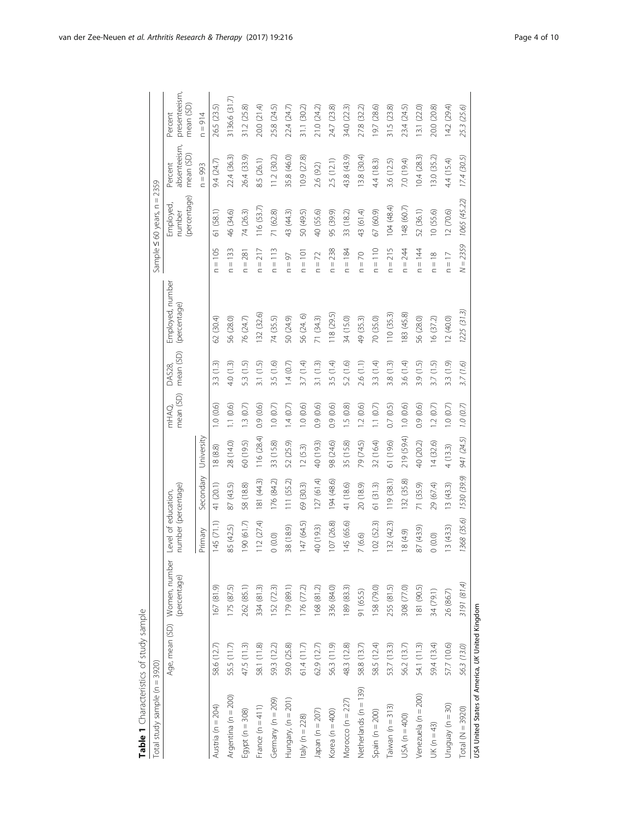<span id="page-3-0"></span>

| Total study sample $(n = 3920)$                 |                |                              |                                           |             |            |                    |                     |                                  |                                                | Sample $\leq 60$ years, $n = 2359$  |                                      |                                       |
|-------------------------------------------------|----------------|------------------------------|-------------------------------------------|-------------|------------|--------------------|---------------------|----------------------------------|------------------------------------------------|-------------------------------------|--------------------------------------|---------------------------------------|
|                                                 | Age, mean (SD) | Women, number<br>percentage) | number (percentage)<br>Level of education |             |            | mean (SD)<br>mHAQ, | mean (SD)<br>DAS28, | Employed, number<br>(percentage) |                                                | (percentage)<br>Employed,<br>number | absenteeism,<br>mean (SD)<br>Percent | presenteeism,<br>mean (SD)<br>Percent |
|                                                 |                |                              | Primary                                   | Secondary   | University |                    |                     |                                  |                                                |                                     | $n = 993$                            | $n = 914$                             |
| Austria (n = 204)                               | 58.6 (12.7)    | 167(81.9)                    | 145(71.1)                                 | 41 (20.1)   | 18(8.8)    | 1.0(0.6)           | 3.3(1.3)            | 62 (30.4)                        | $=105$<br>$\subset$                            | 61 (58.1)                           | 9.4 (24.7)                           | 26.5 (23.5)                           |
| Argentina (n = 200)                             | 55.5 (11.7)    | 175 (87.5)                   | 85 (42.5)                                 | 87 (43.5)   | 28 (14.0)  | 1.1(0.6)           | 4.0(1.3)            | 56 (28.0)                        | $= 133$<br>$\dot{\subseteq}$                   | 46 (34.6)                           | 22.4 (36.3)                          | 3136.6 (31.7)                         |
| Egypt ( $n = 308$ )                             | 47.5 (11.3)    | 262 (85.1)                   | 190 (61.7)                                | 58 (18.8)   | 60 (19.5)  | 1.3(0.7)           | 5.3 (1.5)           | 76 (24.7)                        | $n = 281$                                      | 74 (26.3)                           | 26.4 (33.9)                          | 31.2 (25.8)                           |
| France $(n = 411)$                              | 58.1 (11.8)    | 334 (81.3)                   | 112(27.4)                                 | 181 (44.3)  | 116 (28.4) | 0.9(0.6)           | 3.1(1.5)            | 132 (32.6)                       | 217<br>$\ensuremath{\mathsf{II}}$<br>$\subset$ | 116(53.7)                           | 8.5 (26.1)                           | 20.0 (21.4)                           |
| Germany $(n = 209)$                             | 59.3 (12.2)    | 152 (72.3)                   | 0(0.0)                                    | 176 (84.2)  | 33 (15.8)  | 1.0(0.7)           | 3.5(1.6)            | 74 (35.5)                        | $n = 113$                                      | 71 (62.8)                           | 11.2(30.2)                           | 25.8 (24.5)                           |
| Hungary, (n = 201)                              | 59.0 (25.8)    | 179 (89.1)                   | 38 (18.9)                                 | 111(55.2)   | 52 (25.9)  | 1.4(0.7)           | 1.4(0.7)            | 50 (24.9)                        | 56<br>$\frac{1}{2}$                            | 43 (44.3)                           | 35.8 (46.0)                          | 22.4 (24.7)                           |
| Italy ( $n = 228$ )                             | 61.4(11.7)     | 176 (77.2)                   | 147 (64.5)                                | 69 (30.3)   | 12(5.3)    | 1.0(0.6)           | 3.7(1.4)            | 56 (24.6)                        | $n = 101$                                      | 50 (49.5)                           | 10.9 (27.8)                          | 31.1 (30.2)                           |
| Japan ( $n = 207$ )                             | 62.9 (12.7)    | 168(81.2)                    | 40 (19.3)                                 | 127(61.4)   | 40 (193)   | 0.9(0.6)           | 3.1(1.3)            | 71 (34.3)                        | 72<br>$\frac{1}{2}$                            | 40 (55.6)                           | 2.6(9.2)                             | 21.0 (24.2)                           |
| Korea ( $n = 400$ )                             | 56.3 (11.9)    | 336 (84.0)                   | 107 (26.8)                                | 194 (48.6)  | 98 (24.6)  | 0.9(0.6)           | 3.5(1.4)            | 118 (29.5)                       | 238<br>$\frac{1}{2}$                           | 95 (39.9)                           | 2.5 (12.1)                           | 24.7 (23.8)                           |
| Morocco ( $n = 227$ )                           | 48.3 (12.8)    | 189 (83.3)                   | 145 (65.6)                                | 41 (18.6)   | 35 (15.8)  | 1.5(0.8)           | 5.2 (1.6)           | 34 (15.0)                        | $n = 184$                                      | 33 (18.2)                           | 43.8 (43.9)                          | 34.0 (22.3)                           |
| Netherlands (n = 139)                           | 58.8 (13.7)    | 91 (65.5)                    | 7(6.6)                                    | 20 (18.9)   | 79 (74.5)  | 1.2(0.6)           | 2.6(1.1)            | 49 (35.3)                        | $n = 70$                                       | 43 (61.4)                           | 13.8 (30.4)                          | 27.8 (32.2)                           |
| Spain ( $n = 200$ )                             | 58.5 (12.4)    | 158 (79.0)                   | 102 (52.3)                                | 61 (31.3)   | 32 (16.4)  | 1.1 (0.7)          | 3.3(1.4)            | 70 (35.0)                        | $\frac{10}{10}$<br>$\frac{1}{2}$               | 67 (60.9)                           | 4.4 (18.3)                           | 19.7 (28.6)                           |
| $Iaiwan (n = 313)$                              | 53.7 (13.3)    | 255 (81.5)                   | 132(42.3)                                 | 119 (38.1)  | 61 (19.6)  | 0.7(0.5)           | 3.8(1.3)            | 110(35.3)                        | 215<br>$\frac{1}{2}$                           | 104 (48.4)                          | 3.6 (12.5)                           | 31.5 (23.8)                           |
| USA ( $n = 400$ )                               | 56.2 (13.7)    | 308 (77.0)                   | $(6.4)$ 8 (1.9)                           | 132 (35.8)  | 219 (59.4) | 1.0(0.6)           | 3.6(1.4)            | 183 (45.8)                       | $n = 244$                                      | 148 (60.7)                          | 7.0 (19.4)                           | 23.4 (24.5)                           |
| Venezuela (n = 200)                             | 54.1 (11.3)    | 181 (90.5)                   | 87 (43.9)                                 | 71 (35.9)   | 40 (20.2)  | 0.9(0.6)           | 3.9(1.5)            | 56 (28.0)                        | $n = 144$                                      | 52 (36.1)                           | 10.4(28.3)                           | 13.1(22.0)                            |
| UK ( $n = 43$ )                                 | 59.4 (13.4)    | 34 (79.1)                    | (0.0)                                     | 29 (67.4)   | 14 (32.6)  | 1.2(0.7)           | 3.7(1.5)            | 16(37.2)                         | $n = 18$                                       | 0(55.6)                             | 3.0 (35.2)                           | 20.0 (20.8)                           |
| Uruguay ( $n = 30$ )                            | 57.7 (10.6)    | 26 (86.7)                    | 13(43.3)                                  | 13(43.3)    | 4(13.3)    | 1.0 (0.7)          | 3.3(1.9)            | 12(40.0)                         | $n = 17$                                       | 2 (70.6)                            | 4.4 (15.4)                           | (4.2 (29.4)                           |
| Total $(N = 3920)$                              | 56.3 (13.0)    | 3191 (81.4)                  | 1368 (35.6)                               | 1530 (39.9) | 941 (24.5) | $1.0$ (0.7)        | 3.7(1.6)            | 1225 (31.3)                      | $N = 2359$                                     | 1065 (45.22)                        | 17.4 (30.5)                          | 25.3 (25.6)                           |
| USA United States of America, UK United Kingdom |                |                              |                                           |             |            |                    |                     |                                  |                                                |                                     |                                      |                                       |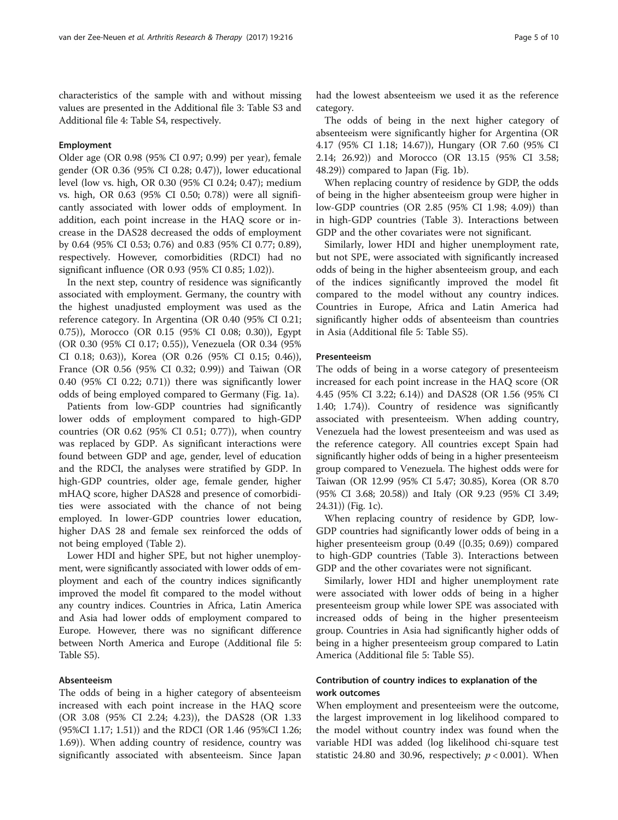characteristics of the sample with and without missing values are presented in the Additional file [3](#page-7-0): Table S3 and Additional file [4](#page-8-0): Table S4, respectively.

# Employment

Older age (OR 0.98 (95% CI 0.97; 0.99) per year), female gender (OR 0.36 (95% CI 0.28; 0.47)), lower educational level (low vs. high, OR 0.30 (95% CI 0.24; 0.47); medium vs. high, OR 0.63 (95% CI 0.50; 0.78)) were all significantly associated with lower odds of employment. In addition, each point increase in the HAQ score or increase in the DAS28 decreased the odds of employment by 0.64 (95% CI 0.53; 0.76) and 0.83 (95% CI 0.77; 0.89), respectively. However, comorbidities (RDCI) had no significant influence (OR 0.93 (95% CI 0.85; 1.02)).

In the next step, country of residence was significantly associated with employment. Germany, the country with the highest unadjusted employment was used as the reference category. In Argentina (OR 0.40 (95% CI 0.21; 0.75)), Morocco (OR 0.15 (95% CI 0.08; 0.30)), Egypt (OR 0.30 (95% CI 0.17; 0.55)), Venezuela (OR 0.34 (95% CI 0.18; 0.63)), Korea (OR 0.26 (95% CI 0.15; 0.46)), France (OR 0.56 (95% CI 0.32; 0.99)) and Taiwan (OR 0.40 (95% CI 0.22; 0.71)) there was significantly lower odds of being employed compared to Germany (Fig. [1a](#page-5-0)).

Patients from low-GDP countries had significantly lower odds of employment compared to high-GDP countries (OR 0.62 (95% CI 0.51; 0.77)), when country was replaced by GDP. As significant interactions were found between GDP and age, gender, level of education and the RDCI, the analyses were stratified by GDP. In high-GDP countries, older age, female gender, higher mHAQ score, higher DAS28 and presence of comorbidities were associated with the chance of not being employed. In lower-GDP countries lower education, higher DAS 28 and female sex reinforced the odds of not being employed (Table [2\)](#page-6-0).

Lower HDI and higher SPE, but not higher unemployment, were significantly associated with lower odds of employment and each of the country indices significantly improved the model fit compared to the model without any country indices. Countries in Africa, Latin America and Asia had lower odds of employment compared to Europe. However, there was no significant difference between North America and Europe (Additional file [5](#page-8-0): Table S5).

## Absenteeism

The odds of being in a higher category of absenteeism increased with each point increase in the HAQ score (OR 3.08 (95% CI 2.24; 4.23)), the DAS28 (OR 1.33 (95%CI 1.17; 1.51)) and the RDCI (OR 1.46 (95%CI 1.26; 1.69)). When adding country of residence, country was significantly associated with absenteeism. Since Japan had the lowest absenteeism we used it as the reference category.

The odds of being in the next higher category of absenteeism were significantly higher for Argentina (OR 4.17 (95% CI 1.18; 14.67)), Hungary (OR 7.60 (95% CI 2.14; 26.92)) and Morocco (OR 13.15 (95% CI 3.58; 48.29)) compared to Japan (Fig. [1b\)](#page-5-0).

When replacing country of residence by GDP, the odds of being in the higher absenteeism group were higher in low-GDP countries (OR 2.85 (95% CI 1.98; 4.09)) than in high-GDP countries (Table [3](#page-6-0)). Interactions between GDP and the other covariates were not significant.

Similarly, lower HDI and higher unemployment rate, but not SPE, were associated with significantly increased odds of being in the higher absenteeism group, and each of the indices significantly improved the model fit compared to the model without any country indices. Countries in Europe, Africa and Latin America had significantly higher odds of absenteeism than countries in Asia (Additional file [5:](#page-8-0) Table S5).

## Presenteeism

The odds of being in a worse category of presenteeism increased for each point increase in the HAQ score (OR 4.45 (95% CI 3.22; 6.14)) and DAS28 (OR 1.56 (95% CI 1.40; 1.74)). Country of residence was significantly associated with presenteeism. When adding country, Venezuela had the lowest presenteeism and was used as the reference category. All countries except Spain had significantly higher odds of being in a higher presenteeism group compared to Venezuela. The highest odds were for Taiwan (OR 12.99 (95% CI 5.47; 30.85), Korea (OR 8.70 (95% CI 3.68; 20.58)) and Italy (OR 9.23 (95% CI 3.49; 24.31)) (Fig. [1c\)](#page-5-0).

When replacing country of residence by GDP, low-GDP countries had significantly lower odds of being in a higher presenteeism group (0.49 ([0.35; 0.69)) compared to high-GDP countries (Table [3](#page-6-0)). Interactions between GDP and the other covariates were not significant.

Similarly, lower HDI and higher unemployment rate were associated with lower odds of being in a higher presenteeism group while lower SPE was associated with increased odds of being in the higher presenteeism group. Countries in Asia had significantly higher odds of being in a higher presenteeism group compared to Latin America (Additional file [5:](#page-8-0) Table S5).

# Contribution of country indices to explanation of the work outcomes

When employment and presenteeism were the outcome, the largest improvement in log likelihood compared to the model without country index was found when the variable HDI was added (log likelihood chi-square test statistic 24.80 and 30.96, respectively;  $p < 0.001$ ). When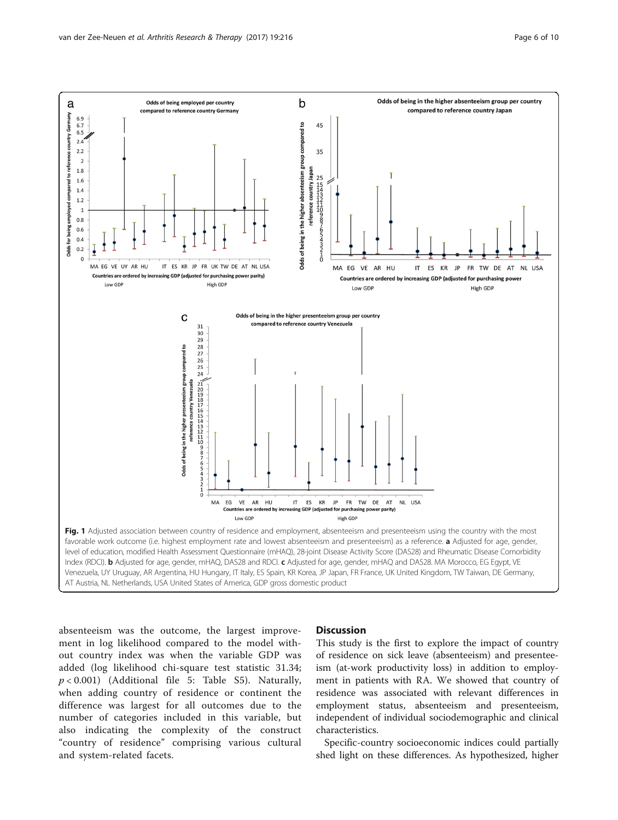<span id="page-5-0"></span>

absenteeism was the outcome, the largest improvement in log likelihood compared to the model without country index was when the variable GDP was added (log likelihood chi-square test statistic 31.34;  $p < 0.001$ ) (Additional file [5:](#page-8-0) Table S5). Naturally, when adding country of residence or continent the difference was largest for all outcomes due to the number of categories included in this variable, but also indicating the complexity of the construct "country of residence" comprising various cultural and system-related facets.

# **Discussion**

This study is the first to explore the impact of country of residence on sick leave (absenteeism) and presenteeism (at-work productivity loss) in addition to employment in patients with RA. We showed that country of residence was associated with relevant differences in employment status, absenteeism and presenteeism, independent of individual sociodemographic and clinical characteristics.

Specific-country socioeconomic indices could partially shed light on these differences. As hypothesized, higher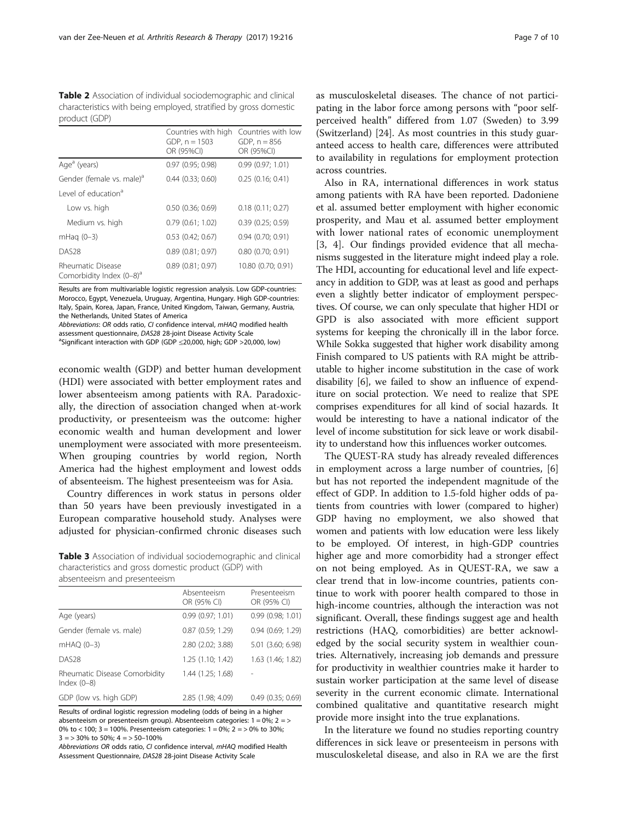<span id="page-6-0"></span>Table 2 Association of individual sociodemographic and clinical characteristics with being employed, stratified by gross domestic product (GDP)

|                                                           | Countries with high<br>GDP, $n = 1503$<br>OR (95%CI) | Countries with low<br>GDP, $n = 856$<br>OR (95%CI) |
|-----------------------------------------------------------|------------------------------------------------------|----------------------------------------------------|
| Age <sup>a</sup> (years)                                  | 0.97(0.95; 0.98)                                     | 0.99(0.97; 1.01)                                   |
| Gender (female vs. male) <sup>a</sup>                     | $0.44$ $(0.33; 0.60)$                                | 0.25(0.16; 0.41)                                   |
| Level of education <sup>a</sup>                           |                                                      |                                                    |
| Low vs. high                                              | $0.50$ $(0.36; 0.69)$                                | 0.18(0.11; 0.27)                                   |
| Medium vs. high                                           | 0.79(0.61; 1.02)                                     | 0.39(0.25; 0.59)                                   |
| $mHaq(0-3)$                                               | $0.53$ $(0.42; 0.67)$                                | $0.94$ $(0.70; 0.91)$                              |
| DAS28                                                     | $0.89$ $(0.81; 0.97)$                                | $0.80$ $(0.70; 0.91)$                              |
| Rheumatic Disease<br>Comorbidity Index (0-8) <sup>a</sup> | 0.89(0.81; 0.97)                                     | 10.80 (0.70; 0.91)                                 |

Results are from multivariable logistic regression analysis. Low GDP-countries: Morocco, Egypt, Venezuela, Uruguay, Argentina, Hungary. High GDP-countries: Italy, Spain, Korea, Japan, France, United Kingdom, Taiwan, Germany, Austria, the Netherlands, United States of America

Abbreviations: OR odds ratio, CI confidence interval, mHAQ modified health assessment questionnaire, DAS28 28-joint Disease Activity Scale Significant interaction with GDP (GDP ≤20,000, high; GDP >20,000, low)

economic wealth (GDP) and better human development (HDI) were associated with better employment rates and lower absenteeism among patients with RA. Paradoxically, the direction of association changed when at-work productivity, or presenteeism was the outcome: higher economic wealth and human development and lower unemployment were associated with more presenteeism. When grouping countries by world region, North America had the highest employment and lowest odds of absenteeism. The highest presenteeism was for Asia.

Country differences in work status in persons older than 50 years have been previously investigated in a European comparative household study. Analyses were adjusted for physician-confirmed chronic diseases such

Table 3 Association of individual sociodemographic and clinical characteristics and gross domestic product (GDP) with absenteeism and presenteeism

|                                                | Absenteeism<br>OR (95% CI) | Presenteeism<br>OR (95% CI) |
|------------------------------------------------|----------------------------|-----------------------------|
| Age (years)                                    | 0.99(0.97; 1.01)           | 0.99(0.98; 1.01)            |
| Gender (female vs. male)                       | 0.87(0.59; 1.29)           | 0.94 (0.69; 1.29)           |
| $mHAO$ (0-3)                                   | 2.80 (2.02; 3.88)          | 5.01 (3.60; 6.98)           |
| DAS <sub>28</sub>                              | 1.25(1.10; 1.42)           | 1.63 (1.46; 1.82)           |
| Rheumatic Disease Comorbidity<br>$Index (0-8)$ | 1.44 (1.25; 1.68)          |                             |
| GDP (low vs. high GDP)                         | 2.85 (1.98; 4.09)          | $0.49$ $(0.35; 0.69)$       |

Results of ordinal logistic regression modeling (odds of being in a higher absenteeism or presenteeism group). Absenteeism categories:  $1 = 0\%$ ;  $2 = \times$ 0% to < 100; 3 = 100%. Presenteeism categories: 1 = 0%; 2 = > 0% to 30%;  $3 =$  > 30% to 50%;  $4 =$  > 50-100%

Abbreviations OR odds ratio, CI confidence interval, mHAQ modified Health Assessment Questionnaire, DAS28 28-joint Disease Activity Scale

as musculoskeletal diseases. The chance of not participating in the labor force among persons with "poor selfperceived health" differed from 1.07 (Sweden) to 3.99 (Switzerland) [\[24\]](#page-9-0). As most countries in this study guaranteed access to health care, differences were attributed to availability in regulations for employment protection across countries.

Also in RA, international differences in work status among patients with RA have been reported. Dadoniene et al. assumed better employment with higher economic prosperity, and Mau et al. assumed better employment with lower national rates of economic unemployment [[3, 4](#page-8-0)]. Our findings provided evidence that all mechanisms suggested in the literature might indeed play a role. The HDI, accounting for educational level and life expectancy in addition to GDP, was at least as good and perhaps even a slightly better indicator of employment perspectives. Of course, we can only speculate that higher HDI or GPD is also associated with more efficient support systems for keeping the chronically ill in the labor force. While Sokka suggested that higher work disability among Finish compared to US patients with RA might be attributable to higher income substitution in the case of work disability [\[6](#page-8-0)], we failed to show an influence of expenditure on social protection. We need to realize that SPE comprises expenditures for all kind of social hazards. It would be interesting to have a national indicator of the level of income substitution for sick leave or work disability to understand how this influences worker outcomes.

The QUEST-RA study has already revealed differences in employment across a large number of countries, [\[6](#page-8-0)] but has not reported the independent magnitude of the effect of GDP. In addition to 1.5-fold higher odds of patients from countries with lower (compared to higher) GDP having no employment, we also showed that women and patients with low education were less likely to be employed. Of interest, in high-GDP countries higher age and more comorbidity had a stronger effect on not being employed. As in QUEST-RA, we saw a clear trend that in low-income countries, patients continue to work with poorer health compared to those in high-income countries, although the interaction was not significant. Overall, these findings suggest age and health restrictions (HAQ, comorbidities) are better acknowledged by the social security system in wealthier countries. Alternatively, increasing job demands and pressure for productivity in wealthier countries make it harder to sustain worker participation at the same level of disease severity in the current economic climate. International combined qualitative and quantitative research might provide more insight into the true explanations.

In the literature we found no studies reporting country differences in sick leave or presenteeism in persons with musculoskeletal disease, and also in RA we are the first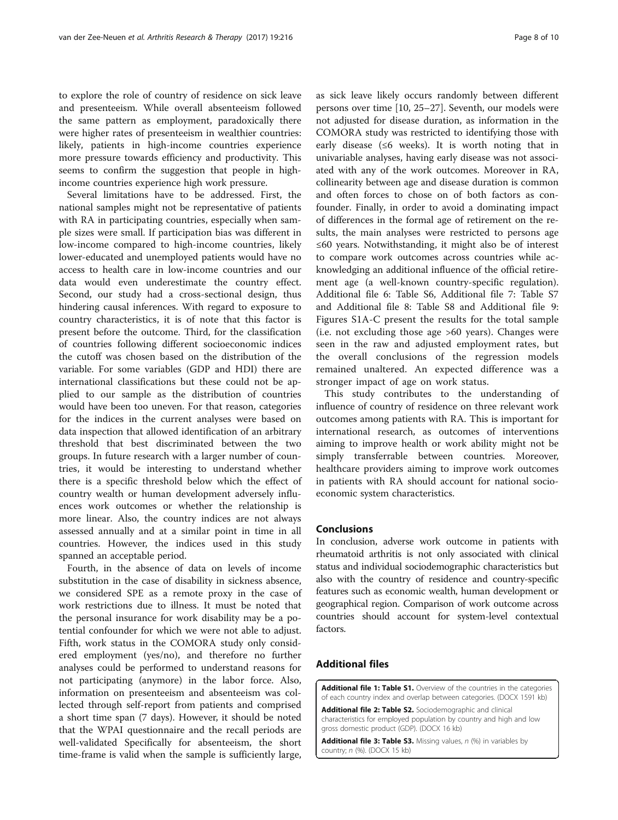<span id="page-7-0"></span>to explore the role of country of residence on sick leave and presenteeism. While overall absenteeism followed the same pattern as employment, paradoxically there were higher rates of presenteeism in wealthier countries: likely, patients in high-income countries experience more pressure towards efficiency and productivity. This seems to confirm the suggestion that people in highincome countries experience high work pressure.

Several limitations have to be addressed. First, the national samples might not be representative of patients with RA in participating countries, especially when sample sizes were small. If participation bias was different in low-income compared to high-income countries, likely lower-educated and unemployed patients would have no access to health care in low-income countries and our data would even underestimate the country effect. Second, our study had a cross-sectional design, thus hindering causal inferences. With regard to exposure to country characteristics, it is of note that this factor is present before the outcome. Third, for the classification of countries following different socioeconomic indices the cutoff was chosen based on the distribution of the variable. For some variables (GDP and HDI) there are international classifications but these could not be applied to our sample as the distribution of countries would have been too uneven. For that reason, categories for the indices in the current analyses were based on data inspection that allowed identification of an arbitrary threshold that best discriminated between the two groups. In future research with a larger number of countries, it would be interesting to understand whether there is a specific threshold below which the effect of country wealth or human development adversely influences work outcomes or whether the relationship is more linear. Also, the country indices are not always assessed annually and at a similar point in time in all countries. However, the indices used in this study spanned an acceptable period.

Fourth, in the absence of data on levels of income substitution in the case of disability in sickness absence, we considered SPE as a remote proxy in the case of work restrictions due to illness. It must be noted that the personal insurance for work disability may be a potential confounder for which we were not able to adjust. Fifth, work status in the COMORA study only considered employment (yes/no), and therefore no further analyses could be performed to understand reasons for not participating (anymore) in the labor force. Also, information on presenteeism and absenteeism was collected through self-report from patients and comprised a short time span (7 days). However, it should be noted that the WPAI questionnaire and the recall periods are well-validated Specifically for absenteeism, the short time-frame is valid when the sample is sufficiently large, as sick leave likely occurs randomly between different persons over time [\[10, 25](#page-9-0)–[27](#page-9-0)]. Seventh, our models were not adjusted for disease duration, as information in the COMORA study was restricted to identifying those with early disease (≤6 weeks). It is worth noting that in univariable analyses, having early disease was not associated with any of the work outcomes. Moreover in RA, collinearity between age and disease duration is common and often forces to chose on of both factors as confounder. Finally, in order to avoid a dominating impact of differences in the formal age of retirement on the results, the main analyses were restricted to persons age ≤60 years. Notwithstanding, it might also be of interest to compare work outcomes across countries while acknowledging an additional influence of the official retirement age (a well-known country-specific regulation). Additional file [6:](#page-8-0) Table S6, Additional file [7:](#page-8-0) Table S7 and Additional file [8:](#page-8-0) Table S8 and Additional file [9](#page-8-0): Figures S1A-C present the results for the total sample (i.e. not excluding those age >60 years). Changes were seen in the raw and adjusted employment rates, but the overall conclusions of the regression models remained unaltered. An expected difference was a stronger impact of age on work status.

This study contributes to the understanding of influence of country of residence on three relevant work outcomes among patients with RA. This is important for international research, as outcomes of interventions aiming to improve health or work ability might not be simply transferrable between countries. Moreover, healthcare providers aiming to improve work outcomes in patients with RA should account for national socioeconomic system characteristics.

# Conclusions

In conclusion, adverse work outcome in patients with rheumatoid arthritis is not only associated with clinical status and individual sociodemographic characteristics but also with the country of residence and country-specific features such as economic wealth, human development or geographical region. Comparison of work outcome across countries should account for system-level contextual factors.

# Additional files

[Additional file 1: Table S1.](dx.doi.org/10.1186/s13075-017-1421-y) Overview of the countries in the categories of each country index and overlap between categories. (DOCX 1591 kb)

[Additional file 2: Table S2.](dx.doi.org/10.1186/s13075-017-1421-y) Sociodemographic and clinical characteristics for employed population by country and high and low gross domestic product (GDP). (DOCX 16 kb)

[Additional file 3: Table S3.](dx.doi.org/10.1186/s13075-017-1421-y) Missing values, n (%) in variables by country; n (%). (DOCX 15 kb)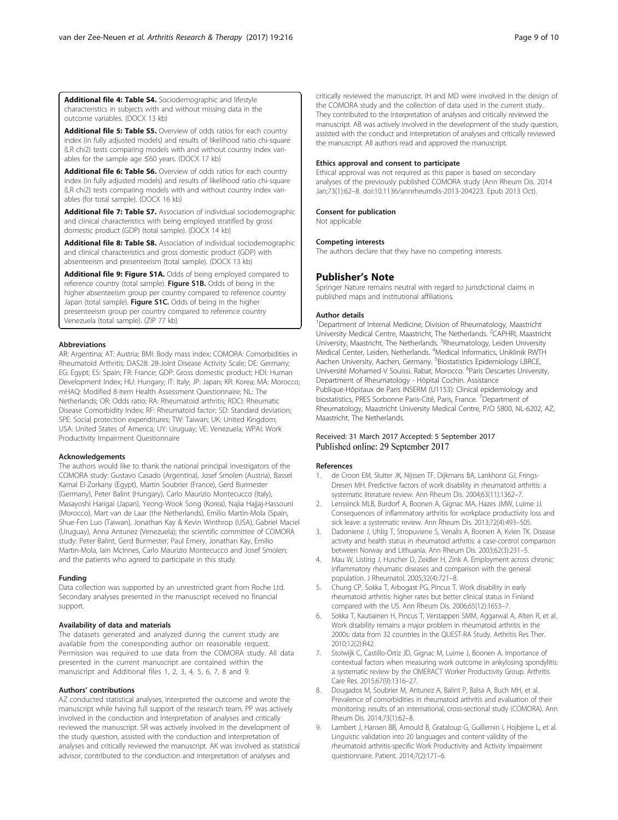<span id="page-8-0"></span>[Additional file 4: Table S4.](dx.doi.org/10.1186/s13075-017-1421-y) Sociodemographic and lifestyle characteristics in subjects with and without missing data in the outcome variables. (DOCX 13 kb)

[Additional file 5: Table S5.](dx.doi.org/10.1186/s13075-017-1421-y) Overview of odds ratios for each country index (in fully adjusted models) and results of likelihood ratio chi-square (LR chi2) tests comparing models with and without country index variables for the sample age ≤60 years. (DOCX 17 kb)

[Additional file 6: Table S6.](dx.doi.org/10.1186/s13075-017-1421-y) Overview of odds ratios for each country index (in fully adjusted models) and results of likelihood ratio chi-square (LR chi2) tests comparing models with and without country index variables (for total sample). (DOCX 16 kb)

[Additional file 7: Table S7.](dx.doi.org/10.1186/s13075-017-1421-y) Association of individual sociodemographic and clinical characteristics with being employed stratified by gross domestic product (GDP) (total sample). (DOCX 14 kb)

[Additional file 8: Table S8.](dx.doi.org/10.1186/s13075-017-1421-y) Association of individual sociodemographic and clinical characteristics and gross domestic product (GDP) with absenteeism and presenteeism (total sample). (DOCX 13 kb)

[Additional file 9: Figure S1A.](dx.doi.org/10.1186/s13075-017-1421-y) Odds of being employed compared to reference country (total sample). Figure S1B. Odds of being in the higher absenteeism group per country compared to reference country Japan (total sample). Figure S1C. Odds of being in the higher presenteeism group per country compared to reference country Venezuela (total sample). (ZIP 77 kb)

#### Abbreviations

AR: Argentina; AT: Austria; BMI: Body mass index; COMORA: Comorbidities in Rheumatoid Arthritis; DAS28: 28-Joint Disease Activity Scale; DE: Germany; EG: Egypt; ES: Spain; FR: France; GDP: Gross domestic product; HDI: Human Development Index; HU: Hungary; IT: Italy; JP: Japan; KR: Korea; MA: Morocco; mHAQ: Modified 8-item Health Assessment Questionnaire; NL: The Netherlands; OR: Odds ratio; RA: Rheumatoid arthritis; RDCI: Rheumatic Disease Comorbidity Index; RF: Rheumatoid factor; SD: Standard deviation; SPE: Social protection expenditures; TW: Taiwan; UK: United Kingdom; USA: United States of America; UY: Uruguay; VE: Venezuela; WPAI: Work Productivity Impairment Questionnaire

#### Acknowledgements

The authors would like to thank the national principal investigators of the COMORA study: Gustavo Casado (Argentina), Josef Smolen (Austria), Bassel Kamal El-Zorkany (Egypt), Martin Soubrier (France), Gerd Burmester (Germany), Peter Balint (Hungary), Carlo Maurizio Montecucco (Italy), Masayoshi Harigai (Japan), Yeong-Wook Song (Korea), Najia Hajjaj-Hassouni (Morocco), Mart van de Laar (the Netherlands), Emilio Martin-Mola (Spain, Shue-Fen Luo (Taiwan), Jonathan Kay & Kevin Winthrop (USA), Gabriel Maciel (Uruguay), Anna Antunez (Venezuela); the scientific committee of COMORA study: Peter Balint, Gerd Burmester, Paul Emery, Jonathan Kay, Emilio Martin-Mola, Iain McInnes, Carlo Maurizio Montecucco and Josef Smolen; and the patients who agreed to participate in this study.

#### Funding

Data collection was supported by an unrestricted grant from Roche Ltd. Secondary analyses presented in the manuscript received no financial support.

#### Availability of data and materials

The datasets generated and analyzed during the current study are available from the corresponding author on reasonable request. Permission was required to use data from the COMORA study. All data presented in the current manuscript are contained within the manuscript and Additional files [1](#page-7-0), [2](#page-7-0), [3](#page-7-0), 4, 5, 6, 7, 8 and 9.

#### Authors' contributions

AZ conducted statistical analyses, interpreted the outcome and wrote the manuscript while having full support of the research team. PP was actively involved in the conduction and interpretation of analyses and critically reviewed the manuscript. SR was actively involved in the development of the study question, assisted with the conduction and interpretation of analyses and critically reviewed the manuscript. AK was involved as statistical advisor, contributed to the conduction and interpretation of analyses and

critically reviewed the manuscript. IH and MD were involved in the design of the COMORA study and the collection of data used in the current study. They contributed to the interpretation of analyses and critically reviewed the manuscript. AB was actively involved in the development of the study question, assisted with the conduct and interpretation of analyses and critically reviewed the manuscript. All authors read and approved the manuscript.

#### Ethics approval and consent to participate

Ethical approval was not required as this paper is based on secondary analyses of the previously published COMORA study (Ann Rheum Dis. 2014 Jan;73(1):62–8. doi:[10.1136/annrheumdis-2013-204223.](http://dx.doi.org/10.1136/annrheumdis-2013-204223) Epub 2013 Oct).

#### Consent for publication

Not applicable

#### Competing interests

The authors declare that they have no competing interests.

## Publisher's Note

Springer Nature remains neutral with regard to jurisdictional claims in published maps and institutional affiliations.

#### Author details

<sup>1</sup>Department of Internal Medicine, Division of Rheumatology, Maastricht University Medical Centre, Maastricht, The Netherlands. <sup>2</sup>CAPHRI, Maastricht University, Maastricht, The Netherlands. <sup>3</sup>Rheumatology, Leiden University Medical Center, Leiden, Netherlands. <sup>4</sup>Medical Informatics, Uniklinik RWTH Aachen University, Aachen, Germany. <sup>5</sup>Biostatistics Epidemiology LBRCE, Université Mohamed-V Souissi, Rabat, Morocco. <sup>6</sup>Paris Descartes University, Department of Rheumatology - Hôpital Cochin. Assistance Publique-Hôpitaux de Paris INSERM (U1153): Clinical epidemiology and biostatistics, PRES Sorbonne Paris-Cité, Paris, France. <sup>7</sup> Department of Rheumatology, Maastricht University Medical Centre, P/O 5800, NL-6202, AZ, Maastricht, The Netherlands.

# Received: 31 March 2017 Accepted: 5 September 2017

#### References

- de Croon EM, Sluiter JK, Nijssen TF, Dijkmans BA, Lankhorst GJ, Frings-Dresen MH. Predictive factors of work disability in rheumatoid arthritis: a systematic literature review. Ann Rheum Dis. 2004;63(11):1362–7.
- 2. Lenssinck MLB, Burdorf A, Boonen A, Gignac MA, Hazes JMW, Luime JJ. Consequences of inflammatory arthritis for workplace productivity loss and sick leave: a systematic review. Ann Rheum Dis. 2013;72(4):493–505.
- 3. Dadoniene J, Uhlig T, Stropuviene S, Venalis A, Boonen A, Kvien TK. Disease activity and health status in rheumatoid arthritis: a case-control comparison between Norway and Lithuania. Ann Rheum Dis. 2003;62(3):231–5.
- 4. Mau W, Listing J, Huscher D, Zeidler H, Zink A. Employment across chronic inflammatory rheumatic diseases and comparison with the general population. J Rheumatol. 2005;32(4):721–8.
- 5. Chung CP, Sokka T, Arbogast PG, Pincus T. Work disability in early rheumatoid arthritis: higher rates but better clinical status in Finland compared with the US. Ann Rheum Dis. 2006;65(12):1653–7.
- 6. Sokka T, Kautiainen H, Pincus T, Verstappen SMM, Aggarwal A, Alten R, et al. Work disability remains a major problem in rheumatoid arthritis in the 2000s: data from 32 countries in the QUEST-RA Study. Arthritis Res Ther. 2010;12(2):R42.
- 7. Stolwijk C, Castillo-Ortiz JD, Gignac M, Luime J, Boonen A. Importance of contextual factors when measuring work outcome in ankylosing spondylitis: a systematic review by the OMERACT Worker Productivity Group. Arthritis Care Res. 2015;67(9):1316–27.
- 8. Dougados M, Soubrier M, Antunez A, Balint P, Balsa A, Buch MH, et al. Prevalence of comorbidities in rheumatoid arthritis and evaluation of their monitoring: results of an international, cross-sectional study (COMORA). Ann Rheum Dis. 2014;73(1):62–8.
- 9. Lambert J, Hansen BB, Arnould B, Grataloup G, Guillemin I, Hojbjerre L, et al. Linguistic validation into 20 languages and content validity of the rheumatoid arthritis-specific Work Productivity and Activity Impairment questionnaire. Patient. 2014;7(2):171–6.